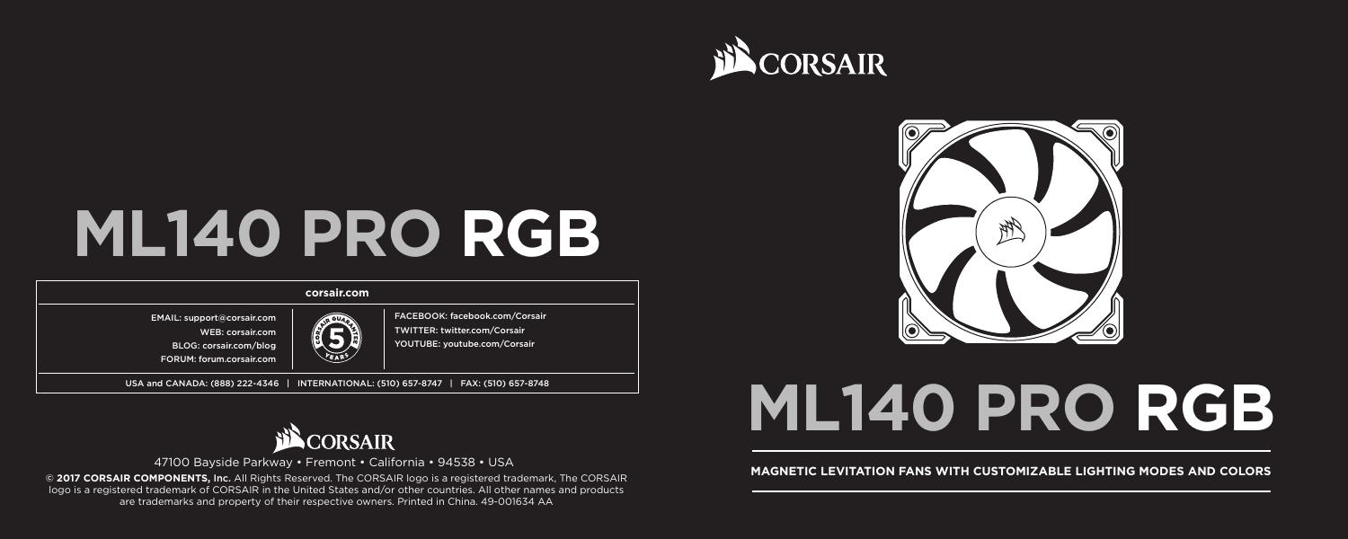

# **ML140 PRO RGB**

## **corsair.com**

FACEBOOK: facebook.com/Corsair TWITTER: twitter.com/Corsair YOUTUBE: youtube.com/Corsair

EMAIL: support@corsair.com WEB: corsair.com

BLOG: corsair.com/blog FORUM: forum.corsair.com

USA and CANADA: (888) 222-4346 | INTERNATIONAL: (510) 657-8747 | FAX: (510) 657-8748



logo is a registered trademark of CORSAIR in the United States and/or other countries. All other names and products are trademarks and property of their respective owners. Printed in China. 49-001634 AA



# **ML140 PRO RGB**

# 47100 Bayside Parkway • Fremont • California • 94538 • USA<br>@ 2017 CORSAIR COMPONENTS, Inc. All Rights Reserved, The CORSAIR logo is a registered trademark. The CORSAIR **MAGNETIC LEVITATION FANS WITH CUSTOMIZABLE LIGHTING M**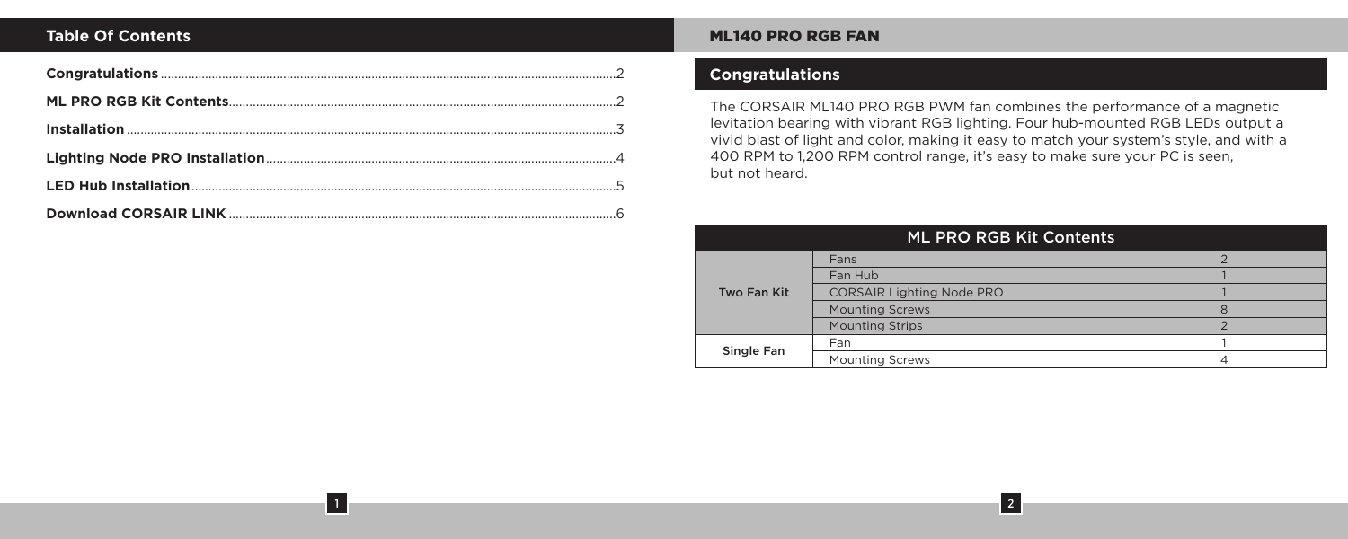1

# **Table Of Contents Music Properties And Alternative Contents And Alternative Contents And Alternative Contents A**

# **Congratulations**

The CORSAIR ML140 PRO RGB PWM fan combines the performance of a magnetic levitation bearing with vibrant RGB lighting. Four hub-mounted RGB LEDs output a vivid blast of light and color, making it easy to match your system's style, and with a 400 RPM to 1,200 RPM control range, it's easy to make sure your PC is seen, but not heard.

| ML PRO RGB Kit Contents |                                  |  |
|-------------------------|----------------------------------|--|
| Two Fan Kit             | Fans                             |  |
|                         | Fan Hub                          |  |
|                         | <b>CORSAIR Lighting Node PRO</b> |  |
|                         | <b>Mounting Screws</b>           |  |
|                         | <b>Mounting Strips</b>           |  |
| Single Fan              | Fan                              |  |
|                         | <b>Mounting Screws</b>           |  |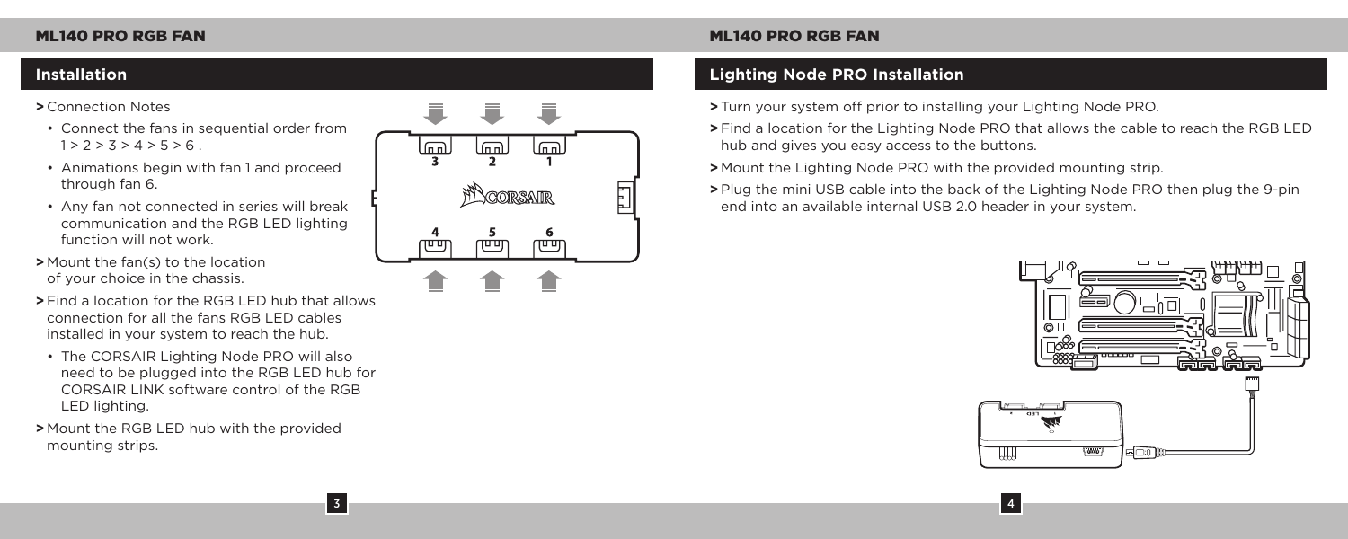## **>** Connection Notes

- Connect the fans in sequential order from  $1 > 2 > 3 > 4 > 5 > 6$
- Animations begin with fan 1 and proceed through fan 6.
- Any fan not connected in series will break communication and the RGB LED lighting function will not work.
- **>** Mount the fan(s) to the location of your choice in the chassis.
- **>** Find a location for the RGB LED hub that allows connection for all the fans RGB LED cables installed in your system to reach the hub.
- The CORSAIR Lighting Node PRO will also need to be plugged into the RGB LED hub for CORSAIR LINK software control of the RGB LED lighting.

3

**>** Mount the RGB LED hub with the provided mounting strips.



# **Installation Lighting Node PRO Installation**

**>** Turn your system off prior to installing your Lighting Node PRO.

**>** Find a location for the Lighting Node PRO that allows the cable to reach the RGB LED hub and gives you easy access to the buttons.

**>** Mount the Lighting Node PRO with the provided mounting strip.

**>** Plug the mini USB cable into the back of the Lighting Node PRO then plug the 9-pin end into an available internal USB 2.0 header in your system.

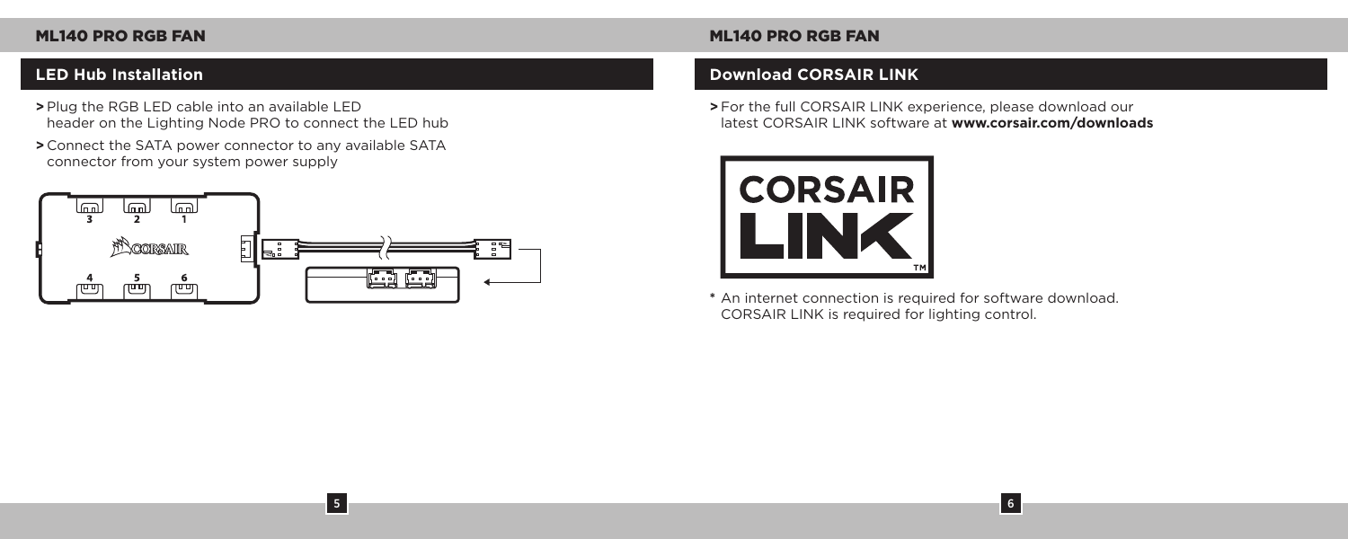- **>** Plug the RGB LED cable into an available LED header on the Lighting Node PRO to connect the LED hub
- **>** Connect the SATA power connector to any available SATA connector from your system power supply



5

# ML140 PRO RGB FAN ML140 PRO RGB FAN

# **LED Hub Installation Download CORSAIR LINK**

**>** For the full CORSAIR LINK experience, please download our latest CORSAIR LINK software at **www.corsair.com/downloads**



**\*** An internet connection is required for software download. CORSAIR LINK is required for lighting control.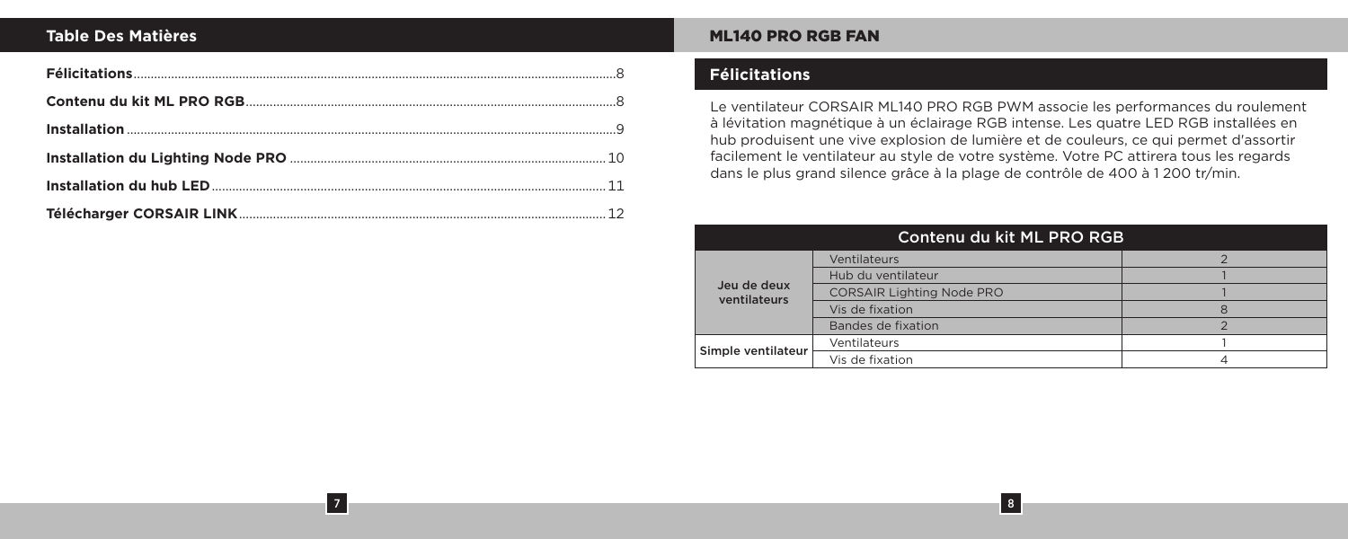# **Table Des Matières**

7

# ML140 PRO RGB FAN

# **Félicitations**

Le ventilateur CORSAIR ML140 PRO RGB PWM associe les performances du roulement à lévitation magnétique à un éclairage RGB intense. Les quatre LED RGB installées en hub produisent une vive explosion de lumière et de couleurs, ce qui permet d'assortir facilement le ventilateur au style de votre système. Votre PC attirera tous les regards dans le plus grand silence grâce à la plage de contrôle de 400 à 1 200 tr/min.

| Contenu du kit ML PRO RGB   |                                  |  |
|-----------------------------|----------------------------------|--|
|                             | Ventilateurs                     |  |
|                             | Hub du ventilateur               |  |
| Jeu de deux<br>ventilateurs | <b>CORSAIR Lighting Node PRO</b> |  |
|                             | Vis de fixation                  |  |
|                             | Bandes de fixation               |  |
| Simple ventilateur          | Ventilateurs                     |  |
|                             | Vis de fixation                  |  |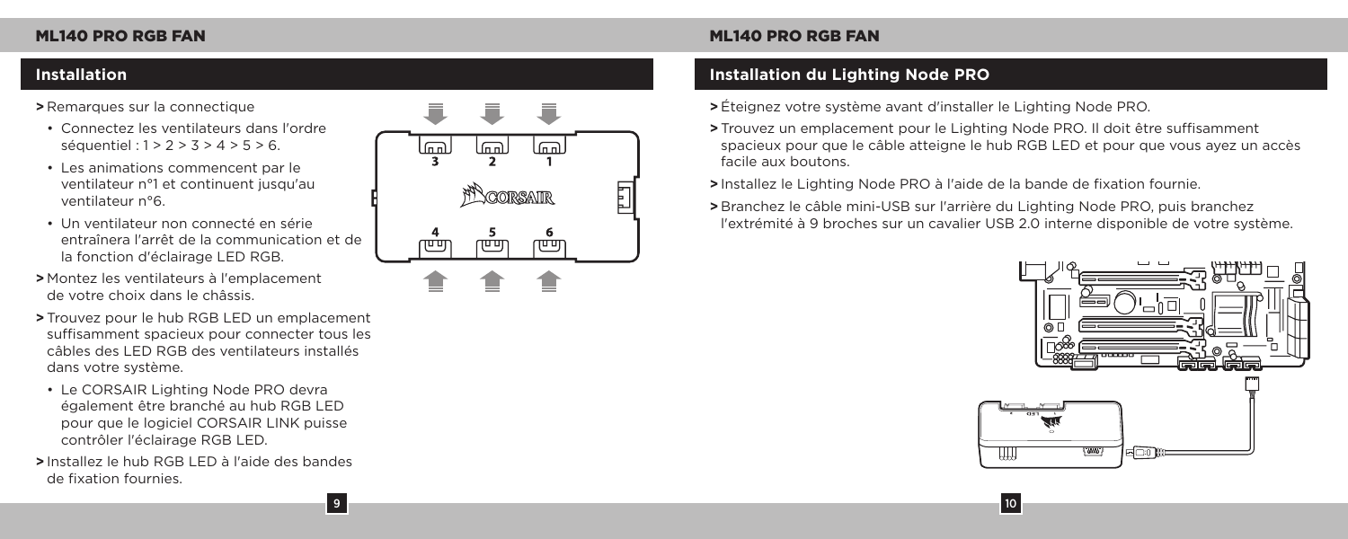## **>** Remarques sur la connectique

- Connectez les ventilateurs dans l'ordre séquentiel : 1 > 2 > 3 > 4 > 5 > 6.
- Les animations commencent par le ventilateur n°1 et continuent jusqu'au ventilateur n°6.
- Un ventilateur non connecté en série entraînera l'arrêt de la communication et de la fonction d'éclairage LED RGB.
- **>** Montez les ventilateurs à l'emplacement de votre choix dans le châssis.
- **>** Trouvez pour le hub RGB LED un emplacement suffisamment spacieux pour connecter tous les câbles des LED RGB des ventilateurs installés dans votre système.
- Le CORSAIR Lighting Node PRO devra également être branché au hub RGB LED pour que le logiciel CORSAIR LINK puisse contrôler l'éclairage RGB LED.
- **>** Installez le hub RGB LED à l'aide des bandes de fixation fournies.

9



# **Installation Installation du Lighting Node PRO**

- **>** Éteignez votre système avant d'installer le Lighting Node PRO.
- **>** Trouvez un emplacement pour le Lighting Node PRO. Il doit être suffisamment spacieux pour que le câble atteigne le hub RGB LED et pour que vous ayez un accès facile aux boutons.
- **>** Installez le Lighting Node PRO à l'aide de la bande de fixation fournie.
- **>** Branchez le câble mini-USB sur l'arrière du Lighting Node PRO, puis branchez l'extrémité à 9 broches sur un cavalier USB 2.0 interne disponible de votre système.

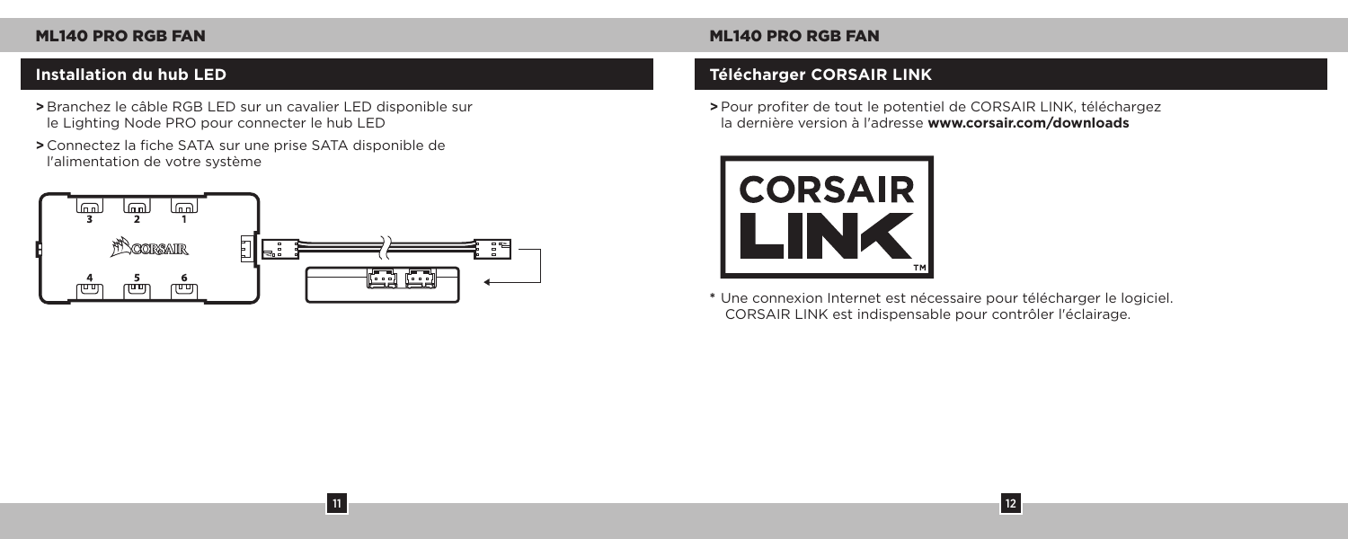- **>** Branchez le câble RGB LED sur un cavalier LED disponible sur le Lighting Node PRO pour connecter le hub LED
- **>** Connectez la fiche SATA sur une prise SATA disponible de l'alimentation de votre système



11

# **Installation du hub LED Télécharger CORSAIR LINK**

**>** Pour profiter de tout le potentiel de CORSAIR LINK, téléchargez la dernière version à l'adresse **www.corsair.com/downloads**



**\*** Une connexion Internet est nécessaire pour télécharger le logiciel. CORSAIR LINK est indispensable pour contrôler l'éclairage.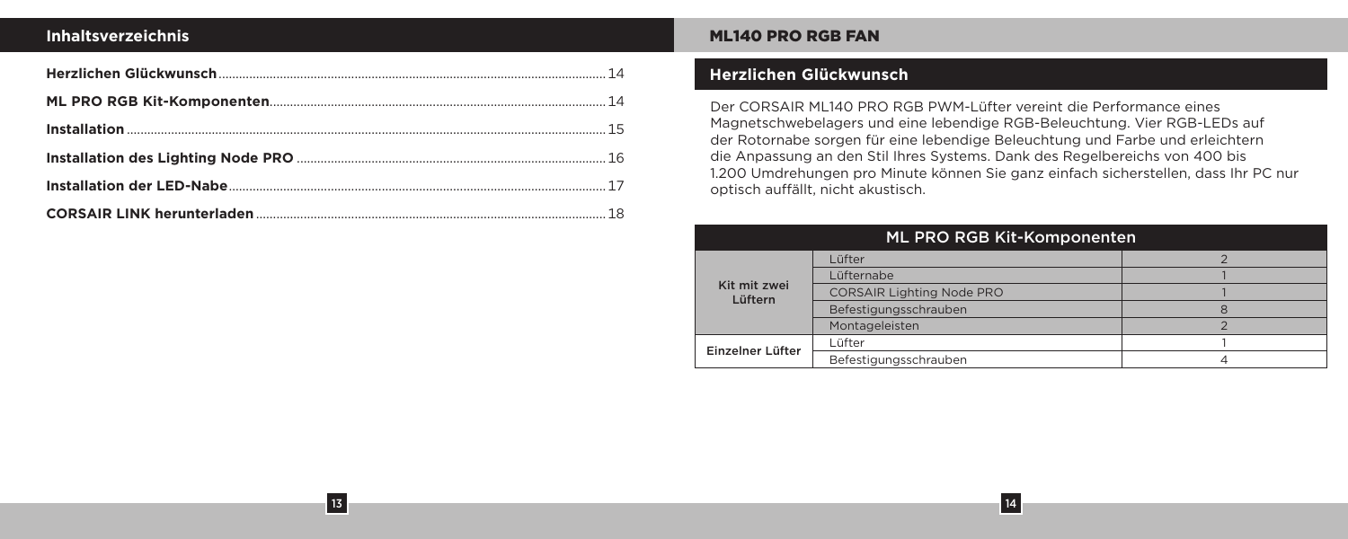# **Inhaltsverzeichnis**

13

# ML140 PRO RGB FAN

# **Herzlichen Glückwunsch**

Der CORSAIR ML140 PRO RGB PWM-Lüfter vereint die Performance eines Magnetschwebelagers und eine lebendige RGB-Beleuchtung. Vier RGB-LEDs auf der Rotornabe sorgen für eine lebendige Beleuchtung und Farbe und erleichtern die Anpassung an den Stil Ihres Systems. Dank des Regelbereichs von 400 bis 1.200 Umdrehungen pro Minute können Sie ganz einfach sicherstellen, dass Ihr PC nur optisch auffällt, nicht akustisch.

| ML PRO RGB Kit-Komponenten |                                  |  |
|----------------------------|----------------------------------|--|
| Kit mit zwei<br>Lüftern    | Lüfter                           |  |
|                            | Lüfternabe                       |  |
|                            | <b>CORSAIR Lighting Node PRO</b> |  |
|                            | Befestigungsschrauben            |  |
|                            | Montageleisten                   |  |
| Einzelner Lüfter           | Lüfter                           |  |
|                            | Befestigungsschrauben            |  |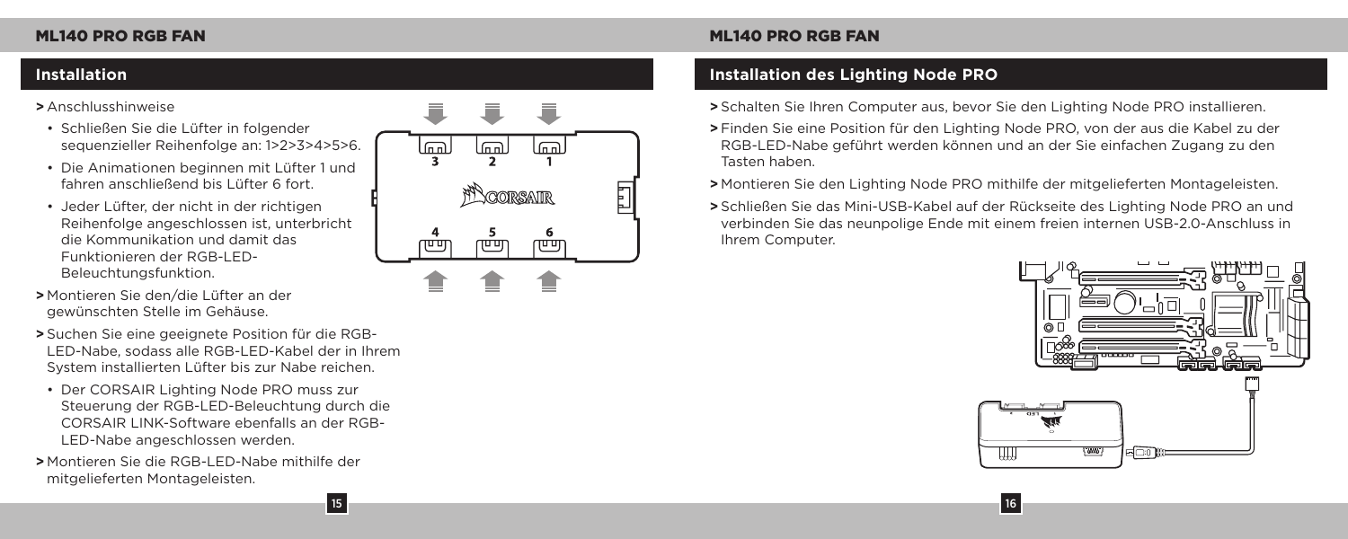## **>** Anschlusshinweise

- Schließen Sie die Lüfter in folgender sequenzieller Reihenfolge an: 1>2>3>4>5>6.
- Die Animationen beginnen mit Lüfter 1 und fahren anschließend bis Lüfter 6 fort.
- Jeder Lüfter, der nicht in der richtigen Reihenfolge angeschlossen ist, unterbricht die Kommunikation und damit das Funktionieren der RGB-LED-Beleuchtungsfunktion.
- **>** Montieren Sie den/die Lüfter an der gewünschten Stelle im Gehäuse.
- **>** Suchen Sie eine geeignete Position für die RGB-LED-Nabe, sodass alle RGB-LED-Kabel der in Ihrem System installierten Lüfter bis zur Nabe reichen.
- Der CORSAIR Lighting Node PRO muss zur Steuerung der RGB-LED-Beleuchtung durch die CORSAIR LINK-Software ebenfalls an der RGB-LED-Nabe angeschlossen werden.

15

**>** Montieren Sie die RGB-LED-Nabe mithilfe der mitgelieferten Montageleisten.



# **Installation Installation des Lighting Node PRO**

- **>** Schalten Sie Ihren Computer aus, bevor Sie den Lighting Node PRO installieren.
- **>** Finden Sie eine Position für den Lighting Node PRO, von der aus die Kabel zu der RGB-LED-Nabe geführt werden können und an der Sie einfachen Zugang zu den Tasten haben.
- **>** Montieren Sie den Lighting Node PRO mithilfe der mitgelieferten Montageleisten.
- **>** Schließen Sie das Mini-USB-Kabel auf der Rückseite des Lighting Node PRO an und verbinden Sie das neunpolige Ende mit einem freien internen USB-2.0-Anschluss in Ihrem Computer.

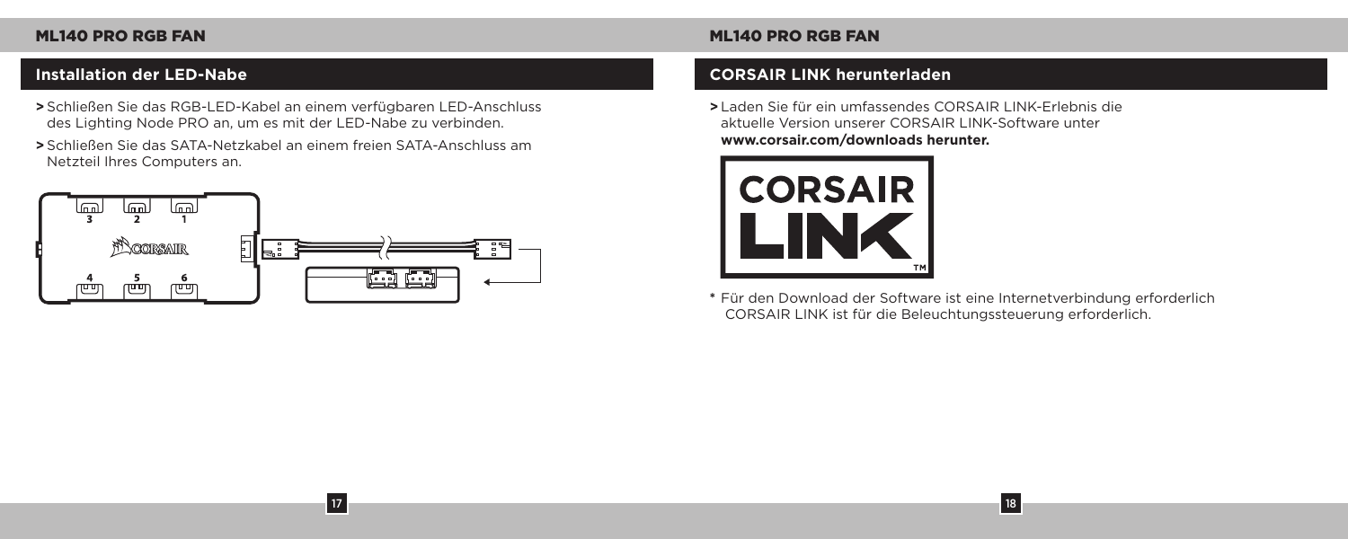- **>** Schließen Sie das RGB-LED-Kabel an einem verfügbaren LED-Anschluss des Lighting Node PRO an, um es mit der LED-Nabe zu verbinden.
- **>** Schließen Sie das SATA-Netzkabel an einem freien SATA-Anschluss am Netzteil Ihres Computers an.



17

# **Installation der LED-Nabe CORSAIR LINK herunterladen**

**>** Laden Sie für ein umfassendes CORSAIR LINK-Erlebnis die aktuelle Version unserer CORSAIR LINK-Software unter **www.corsair.com/downloads herunter.**



**\*** Für den Download der Software ist eine Internetverbindung erforderlich CORSAIR LINK ist für die Beleuchtungssteuerung erforderlich.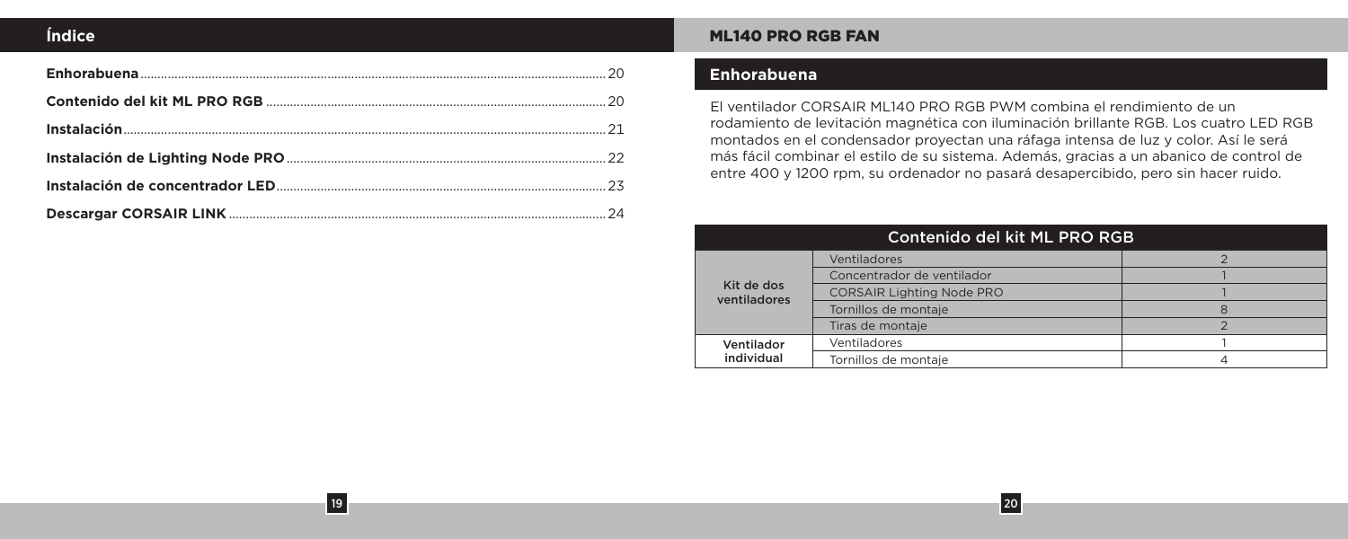# **Índice**

19

# ML140 PRO RGB FAN

# **Enhorabuena**

El ventilador CORSAIR ML140 PRO RGB PWM combina el rendimiento de un rodamiento de levitación magnética con iluminación brillante RGB. Los cuatro LED RGB montados en el condensador proyectan una ráfaga intensa de luz y color. Así le será más fácil combinar el estilo de su sistema. Además, gracias a un abanico de control de entre 400 y 1200 rpm, su ordenador no pasará desapercibido, pero sin hacer ruido.

| Contenido del kit ML PRO RGB |                                  |  |
|------------------------------|----------------------------------|--|
| Kit de dos<br>ventiladores   | Ventiladores                     |  |
|                              | Concentrador de ventilador       |  |
|                              | <b>CORSAIR Lighting Node PRO</b> |  |
|                              | Tornillos de montaie             |  |
|                              | Tiras de montaje                 |  |
| Ventilador<br>individual     | Ventiladores                     |  |
|                              | Tornillos de montaje             |  |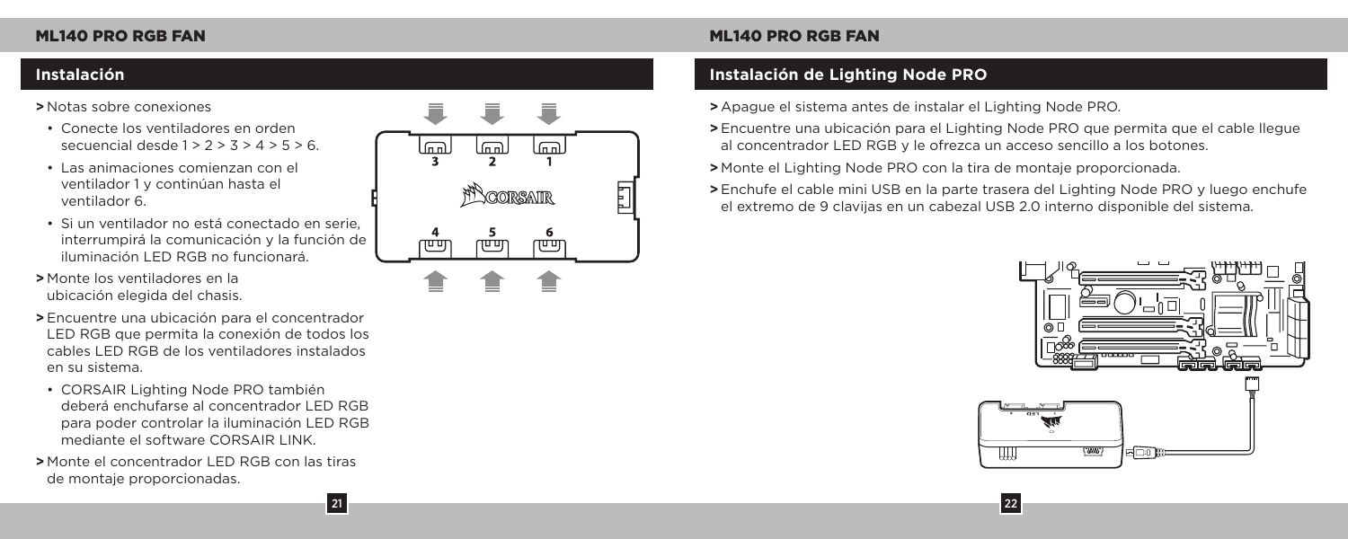## **>** Notas sobre conexiones

- Conecte los ventiladores en orden secuencial desde  $1 > 2 > 3 > 4 > 5 > 6$ .
- Las animaciones comienzan con el ventilador 1 y continúan hasta el ventilador 6.
- Si un ventilador no está conectado en serie, interrumpirá la comunicación y la función de iluminación LED RGB no funcionará.
- **>** Monte los ventiladores en la ubicación elegida del chasis.
- **>** Encuentre una ubicación para el concentrador LED RGB que permita la conexión de todos los cables LED RGB de los ventiladores instalados en su sistema.
- CORSAIR Lighting Node PRO también deberá enchufarse al concentrador LED RGB para poder controlar la iluminación LED RGB mediante el software CORSAIR LINK.
- **>** Monte el concentrador LED RGB con las tiras de montaje proporcionadas.

21



# **Instalación Instalación de Lighting Node PRO**

**>** Apague el sistema antes de instalar el Lighting Node PRO.

**>** Encuentre una ubicación para el Lighting Node PRO que permita que el cable llegue al concentrador LED RGB y le ofrezca un acceso sencillo a los botones.

**>** Monte el Lighting Node PRO con la tira de montaje proporcionada.

**>** Enchufe el cable mini USB en la parte trasera del Lighting Node PRO y luego enchufe el extremo de 9 clavijas en un cabezal USB 2.0 interno disponible del sistema.

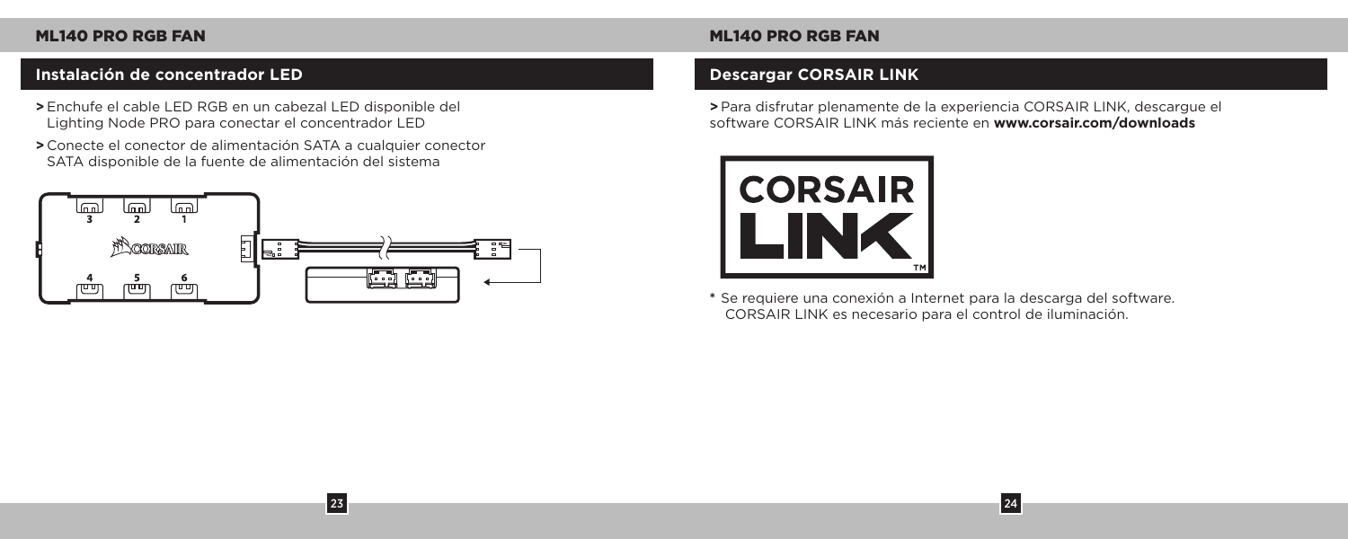# **Instalación de concentrador LED Descargar CORSAIR LINK**

- **>** Enchufe el cable LED RGB en un cabezal LED disponible del Lighting Node PRO para conectar el concentrador LED
- **>** Conecte el conector de alimentación SATA a cualquier conector SATA disponible de la fuente de alimentación del sistema



23

# ML140 PRO RGB FAN ML140 PRO RGB FAN

**>** Para disfrutar plenamente de la experiencia CORSAIR LINK, descargue el software CORSAIR LINK más reciente en **www.corsair.com/downloads**



**\*** Se requiere una conexión a Internet para la descarga del software. CORSAIR LINK es necesario para el control de iluminación.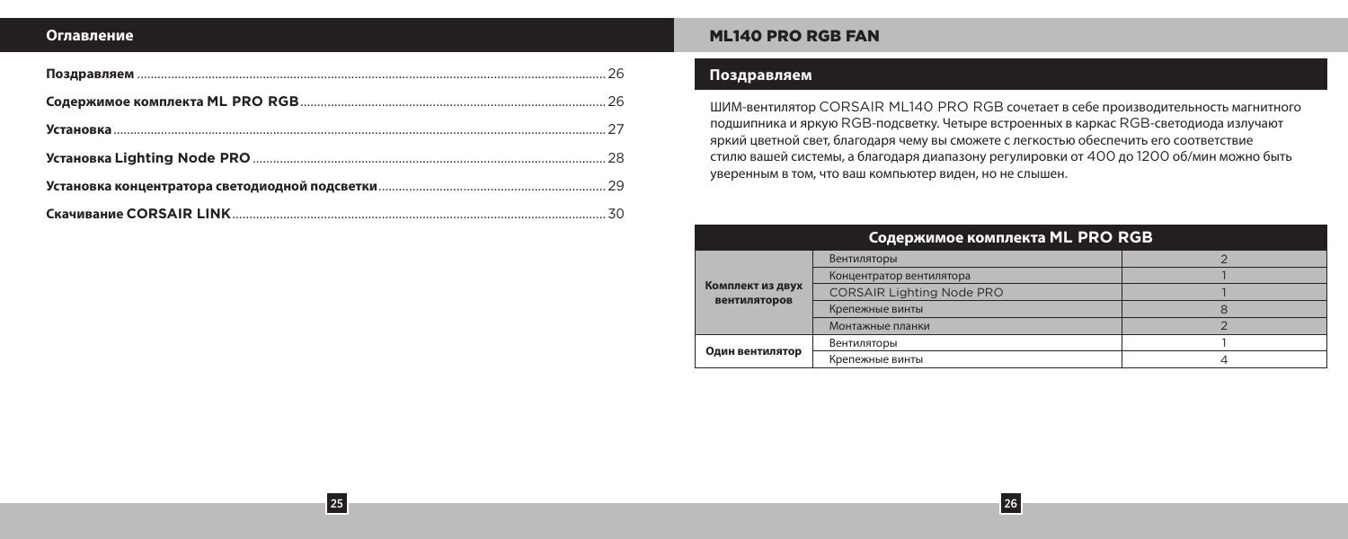## **Оглавление**

25

# ML140 PRO RGB FAN

# **Поздравляем**

ШИМ-вентилятор CORSAIR ML140 PRO RGB сочетает в себе производительность магнитного подшипника и яркую RGB-подсветку. Четыре встроенных в каркас RGB-светодиода излучают яркий цветной свет, благодаря чему вы сможете с легкостью обеспечить его соответствие стилю вашей системы, а благодаря диапазону регулировки от 400 до 1200 об/мин можно быть уверенным в том, что ваш компьютер виден, но не слышен.

| Содержимое комплекта ML PRO RGB  |                                  |  |
|----------------------------------|----------------------------------|--|
|                                  | Вентиляторы                      |  |
|                                  | Концентратор вентилятора         |  |
| Комплект из двух<br>вентиляторов | <b>CORSAIR Lighting Node PRO</b> |  |
|                                  | Крепежные винты                  |  |
|                                  | Монтажные планки                 |  |
| Один вентилятор                  | Вентиляторы                      |  |
|                                  | Крепежные винты                  |  |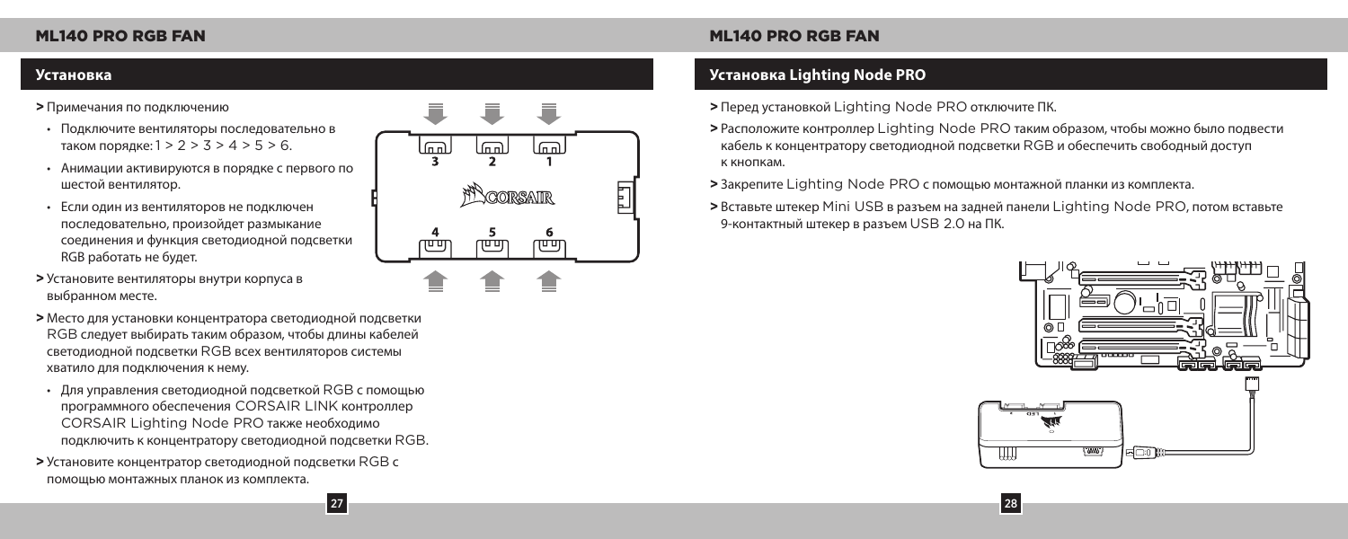## **>** Примечания по подключению

- Подключите вентиляторы последовательно в таком порядке: 1 > 2 > 3 > 4 > 5 > 6.
- Анимации активируются в порядке с первого по шестой вентилятор.
- Если один из вентиляторов не подключен последовательно, произойдет размыкание соединения и функция светодиодной подсветки RGB работать не будет.
- **>** Установите вентиляторы внутри корпуса в выбранном месте.
- **>** Место для установки концентратора светодиодной подсветки RGB следует выбирать таким образом, чтобы длины кабелей светодиодной подсветки RGB всех вентиляторов системы хватило для подключения к нему.
- Для управления светодиодной подсветкой RGB с помощью программного обеспечения CORSAIR LINK контроллер CORSAIR Lighting Node PRO также необходимо подключить к концентратору светодиодной подсветки RGB.

**27** 

**>** Установите концентратор светодиодной подсветки RGB с помощью монтажных планок из комплекта.



# **Установка Установка Lighting Node PRO**

- **>** Перед установкой Lighting Node PRO отключите ПК.
- **>** Расположите контроллер Lighting Node PRO таким образом, чтобы можно было подвести кабель к концентратору светодиодной подсветки RGB и обеспечить свободный доступ к кнопкам.
- **>** Закрепите Lighting Node PRO с помощью монтажной планки из комплекта.
- **>** Вставьте штекер Mini USB в разъем на задней панели Lighting Node PRO, потом вставьте 9-контактный штекер в разъем USB 2.0 на ПК.

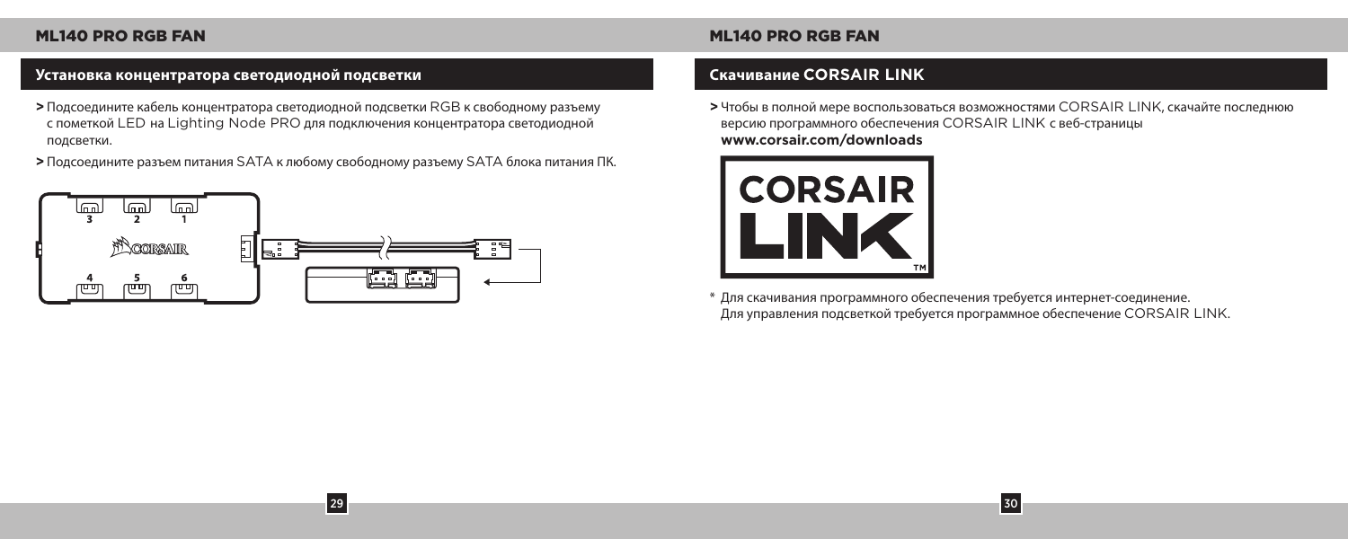# **Установка концентратора светодиодной подсветки Скачивание CORSAIR LINK**

- **>** Подсоедините кабель концентратора светодиодной подсветки RGB к свободному разъему с пометкой LED на Lighting Node PRO для подключения концентратора светодиодной подсветки.
- **>** Подсоедините разъем питания SATA к любому свободному разъему SATA блока питания ПК.

29



**>** Чтобы в полной мере воспользоваться возможностями CORSAIR LINK, скачайте последнюю версию программного обеспечения CORSAIR LINK с веб-страницы **www.corsair.com/downloads**



\* Для скачивания программного обеспечения требуется интернет-соединение. Для управления подсветкой требуется программное обеспечение CORSAIR LINK.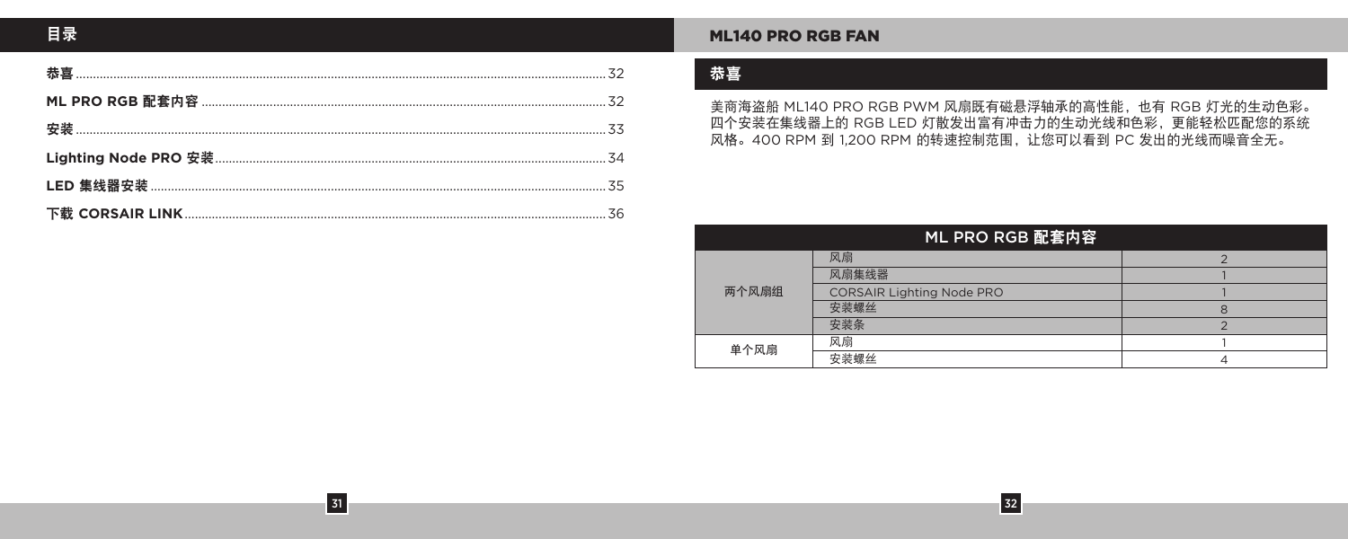$\begin{array}{|c|c|}\hline 31\hline \end{array}$ 

# **ML140 PRO RGB FAN**

# 恭喜

美商海盗船 ML140 PRO RGB PWM 风扇既有磁悬浮轴承的高性能, 也有 RGB 灯光的生动色彩。 四个安装在集线器上的 RGB LED 灯散发出富有冲击力的生动光线和色彩,更能轻松匹配您的系统 风格。400 RPM 到 1,200 RPM 的转速控制范围, 让您可以看到 PC 发出的光线而噪音全无。

| ML PRO RGB 配套内容 |                                  |  |
|-----------------|----------------------------------|--|
| 两个风扇组           | 风扇                               |  |
|                 | 风扇集线器                            |  |
|                 | <b>CORSAIR Lighting Node PRO</b> |  |
|                 | 安装螺丝                             |  |
|                 | 安装条                              |  |
| 单个风扇            | 风扇                               |  |
|                 | 安装螺丝                             |  |

 $\boxed{32}$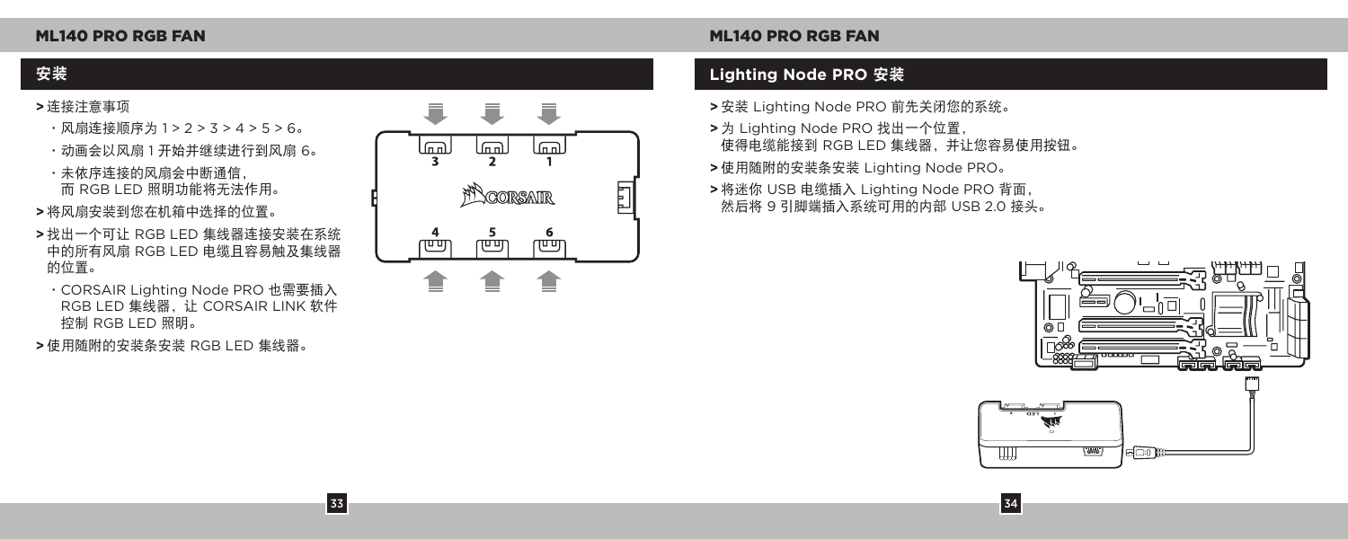- **>** 连接注意事项
	- •风扇连接顺序为 1 > 2 > 3 > 4 > 5 > 6。
	- •动画会以风扇 1 开始并继续进行到风扇 6。

•未依序连接的风扇会中断通信, 而 RGB LED 照明功能将无法作用。

- **>** 将风扇安装到您在机箱中选择的位置。
- **>** 找出一个可让 RGB LED 集线器连接安装在系统 中的所有风扇 RGB LED 电缆且容易触及集线器 的位置。
- •CORSAIR Lighting Node PRO 也需要插入 RGB LED 集线器, 让 CORSAIR LINK 软件 控制 RGB LED 照明。

33

**>** 使用随附的安装条安装 RGB LED 集线器。



# ML140 PRO RGB FAN ML140 PRO RGB FAN

# 安装 **Lighting Node PRO** 安装

- **>** 安装 Lighting Node PRO 前先关闭您的系统。
- **>** 为 Lighting Node PRO 找出一个位置, 使得电缆能接到 RGB LED 集线器,并让您容易使用按钮。
- **>** 使用随附的安装条安装 Lighting Node PRO。
- **>** 将迷你 USB 电缆插入 Lighting Node PRO 背面, 然后将 9 引脚端插入系统可用的内部 USB 2.0 接头。